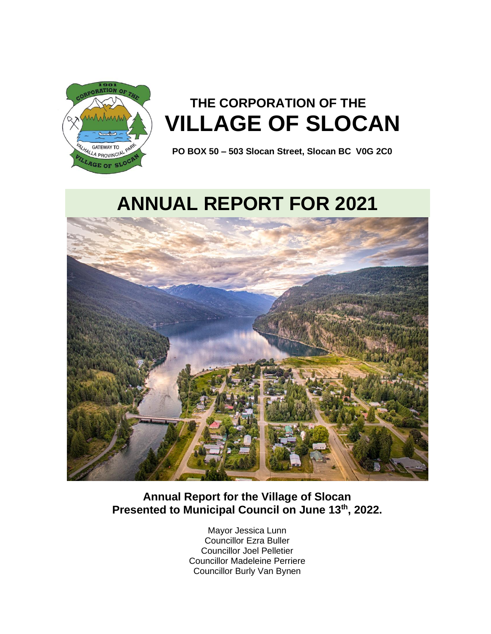

# **THE CORPORATION OF THE VILLAGE OF SLOCAN**

 **PO BOX 50 – 503 Slocan Street, Slocan BC V0G 2C0**

# **ANNUAL REPORT FOR 2021**



## **Annual Report for the Village of Slocan Presented to Municipal Council on June 13th, 2022.**

Mayor Jessica Lunn Councillor Ezra Buller Councillor Joel Pelletier Councillor Madeleine Perriere Councillor Burly Van Bynen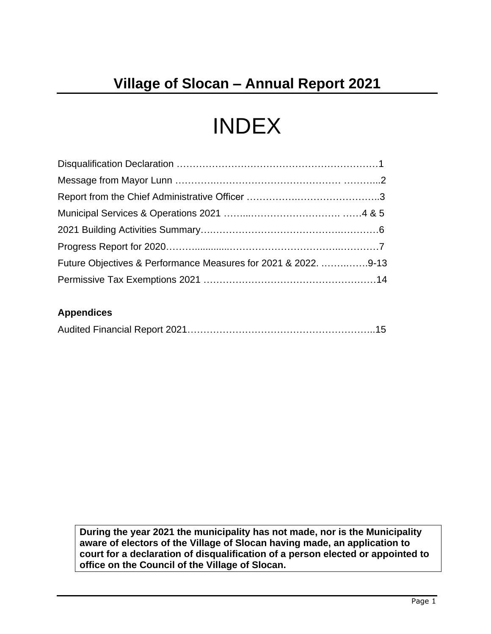# INDEX

| Future Objectives & Performance Measures for 2021 & 2022. 9-13 |  |
|----------------------------------------------------------------|--|
|                                                                |  |

## **Appendices**

|--|--|--|

**During the year 2021 the municipality has not made, nor is the Municipality aware of electors of the Village of Slocan having made, an application to court for a declaration of disqualification of a person elected or appointed to office on the Council of the Village of Slocan.**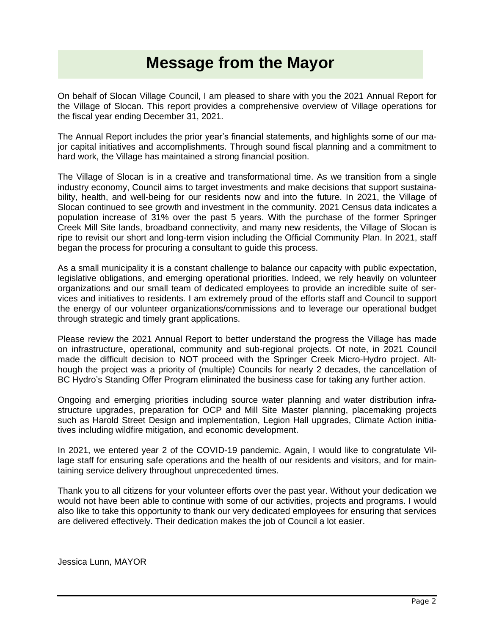# **Message from the Mayor**

On behalf of Slocan Village Council, I am pleased to share with you the 2021 Annual Report for the Village of Slocan. This report provides a comprehensive overview of Village operations for the fiscal year ending December 31, 2021.

The Annual Report includes the prior year's financial statements, and highlights some of our major capital initiatives and accomplishments. Through sound fiscal planning and a commitment to hard work, the Village has maintained a strong financial position.

The Village of Slocan is in a creative and transformational time. As we transition from a single industry economy, Council aims to target investments and make decisions that support sustainability, health, and well-being for our residents now and into the future. In 2021, the Village of Slocan continued to see growth and investment in the community. 2021 Census data indicates a population increase of 31% over the past 5 years. With the purchase of the former Springer Creek Mill Site lands, broadband connectivity, and many new residents, the Village of Slocan is ripe to revisit our short and long-term vision including the Official Community Plan. In 2021, staff began the process for procuring a consultant to guide this process.

As a small municipality it is a constant challenge to balance our capacity with public expectation, legislative obligations, and emerging operational priorities. Indeed, we rely heavily on volunteer organizations and our small team of dedicated employees to provide an incredible suite of services and initiatives to residents. I am extremely proud of the efforts staff and Council to support the energy of our volunteer organizations/commissions and to leverage our operational budget through strategic and timely grant applications.

Please review the 2021 Annual Report to better understand the progress the Village has made on infrastructure, operational, community and sub-regional projects. Of note, in 2021 Council made the difficult decision to NOT proceed with the Springer Creek Micro-Hydro project. Although the project was a priority of (multiple) Councils for nearly 2 decades, the cancellation of BC Hydro's Standing Offer Program eliminated the business case for taking any further action.

Ongoing and emerging priorities including source water planning and water distribution infrastructure upgrades, preparation for OCP and Mill Site Master planning, placemaking projects such as Harold Street Design and implementation, Legion Hall upgrades, Climate Action initiatives including wildfire mitigation, and economic development.

In 2021, we entered year 2 of the COVID-19 pandemic. Again, I would like to congratulate Village staff for ensuring safe operations and the health of our residents and visitors, and for maintaining service delivery throughout unprecedented times.

Thank you to all citizens for your volunteer efforts over the past year. Without your dedication we would not have been able to continue with some of our activities, projects and programs. I would also like to take this opportunity to thank our very dedicated employees for ensuring that services are delivered effectively. Their dedication makes the job of Council a lot easier.

Jessica Lunn, MAYOR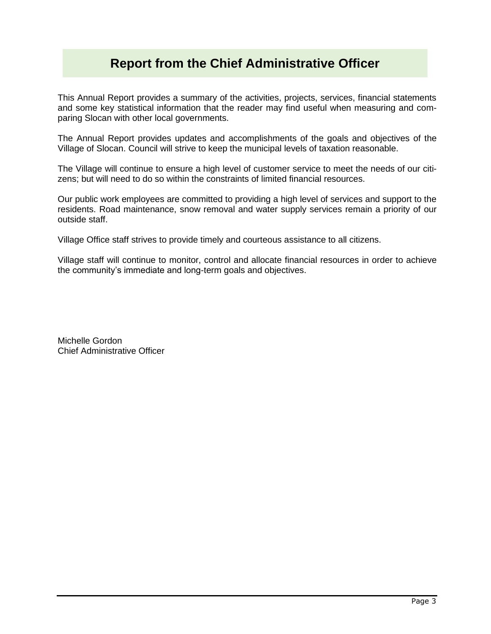## **Report from the Chief Administrative Officer**

This Annual Report provides a summary of the activities, projects, services, financial statements and some key statistical information that the reader may find useful when measuring and comparing Slocan with other local governments.

The Annual Report provides updates and accomplishments of the goals and objectives of the Village of Slocan. Council will strive to keep the municipal levels of taxation reasonable.

The Village will continue to ensure a high level of customer service to meet the needs of our citizens; but will need to do so within the constraints of limited financial resources.

Our public work employees are committed to providing a high level of services and support to the residents. Road maintenance, snow removal and water supply services remain a priority of our outside staff.

Village Office staff strives to provide timely and courteous assistance to all citizens.

Village staff will continue to monitor, control and allocate financial resources in order to achieve the community's immediate and long-term goals and objectives.

Michelle Gordon Chief Administrative Officer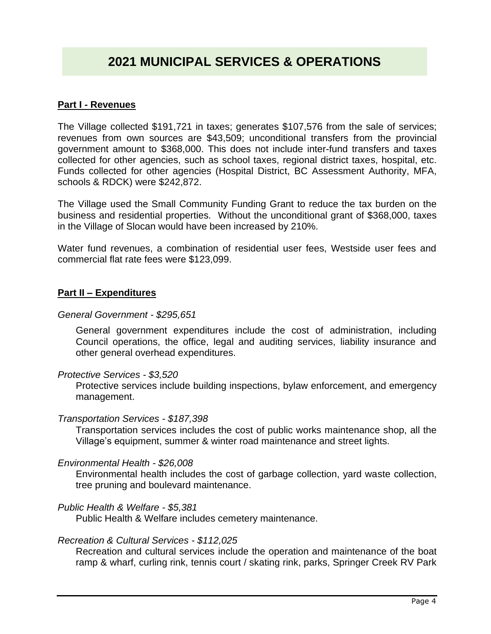## **2021 MUNICIPAL SERVICES & OPERATIONS**

### **Part I - Revenues**

The Village collected \$191,721 in taxes; generates \$107,576 from the sale of services; revenues from own sources are \$43,509; unconditional transfers from the provincial government amount to \$368,000. This does not include inter-fund transfers and taxes collected for other agencies, such as school taxes, regional district taxes, hospital, etc. Funds collected for other agencies (Hospital District, BC Assessment Authority, MFA, schools & RDCK) were \$242,872.

The Village used the Small Community Funding Grant to reduce the tax burden on the business and residential properties. Without the unconditional grant of \$368,000, taxes in the Village of Slocan would have been increased by 210%.

Water fund revenues, a combination of residential user fees, Westside user fees and commercial flat rate fees were \$123,099.

### **Part II – Expenditures**

#### *General Government - \$295,651*

General government expenditures include the cost of administration, including Council operations, the office, legal and auditing services, liability insurance and other general overhead expenditures.

#### *Protective Services - \$3,520*

Protective services include building inspections, bylaw enforcement, and emergency management.

#### *Transportation Services - \$187,398*

Transportation services includes the cost of public works maintenance shop, all the Village's equipment, summer & winter road maintenance and street lights.

#### *Environmental Health - \$26,008*

Environmental health includes the cost of garbage collection, yard waste collection, tree pruning and boulevard maintenance.

#### *Public Health & Welfare - \$5,381*

Public Health & Welfare includes cemetery maintenance.

#### *Recreation & Cultural Services - \$112,025*

Recreation and cultural services include the operation and maintenance of the boat ramp & wharf, curling rink, tennis court / skating rink, parks, Springer Creek RV Park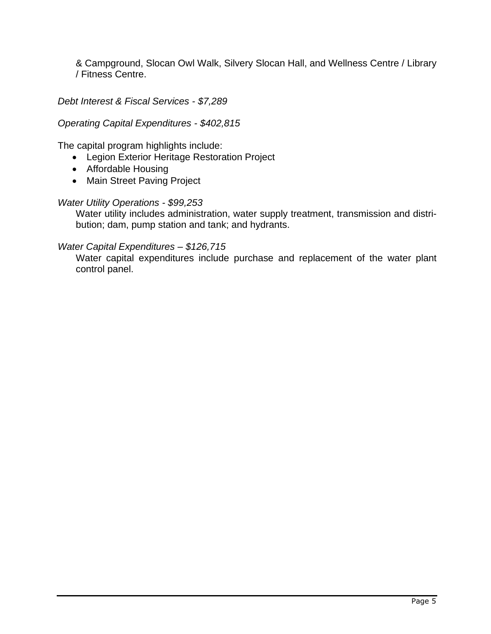& Campground, Slocan Owl Walk, Silvery Slocan Hall, and Wellness Centre / Library / Fitness Centre.

*Debt Interest & Fiscal Services - \$7,289*

## *Operating Capital Expenditures - \$402,815*

The capital program highlights include:

- Legion Exterior Heritage Restoration Project
- Affordable Housing
- Main Street Paving Project

## *Water Utility Operations - \$99,253*

Water utility includes administration, water supply treatment, transmission and distribution; dam, pump station and tank; and hydrants.

## *Water Capital Expenditures – \$126,715*

Water capital expenditures include purchase and replacement of the water plant control panel.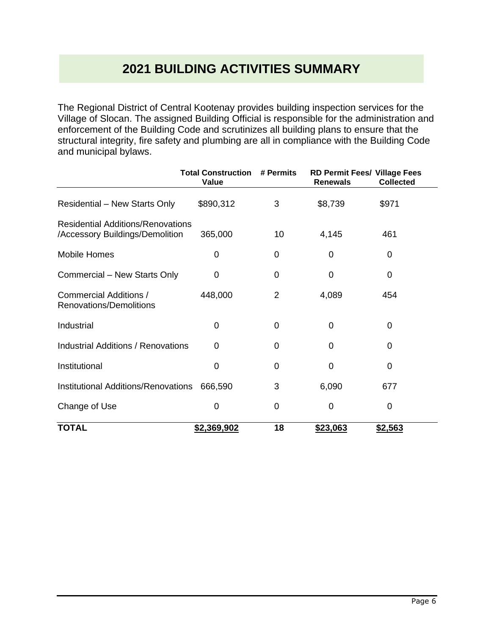# **2021 BUILDING ACTIVITIES SUMMARY**

The Regional District of Central Kootenay provides building inspection services for the Village of Slocan. The assigned Building Official is responsible for the administration and enforcement of the Building Code and scrutinizes all building plans to ensure that the structural integrity, fire safety and plumbing are all in compliance with the Building Code and municipal bylaws.

|                                                                             | <b>Total Construction</b><br>Value | # Permits   | <b>Renewals</b> | RD Permit Fees/ Village Fees<br><b>Collected</b> |
|-----------------------------------------------------------------------------|------------------------------------|-------------|-----------------|--------------------------------------------------|
| <b>Residential – New Starts Only</b>                                        | \$890,312                          | 3           | \$8,739         | \$971                                            |
| <b>Residential Additions/Renovations</b><br>/Accessory Buildings/Demolition | 365,000                            | 10          | 4,145           | 461                                              |
| <b>Mobile Homes</b>                                                         | 0                                  | 0           | 0               | $\mathbf 0$                                      |
| Commercial - New Starts Only                                                | 0                                  | 0           | 0               | $\mathbf 0$                                      |
| <b>Commercial Additions /</b><br>Renovations/Demolitions                    | 448,000                            | 2           | 4,089           | 454                                              |
| Industrial                                                                  | 0                                  | 0           | $\overline{0}$  | 0                                                |
| <b>Industrial Additions / Renovations</b>                                   | 0                                  | 0           | 0               | 0                                                |
| Institutional                                                               | 0                                  | 0           | $\Omega$        | 0                                                |
| Institutional Additions/Renovations                                         | 666,590                            | 3           | 6,090           | 677                                              |
| Change of Use                                                               | 0                                  | $\mathbf 0$ | $\overline{0}$  | $\overline{0}$                                   |
| <b>TOTAL</b>                                                                | \$2,369,902                        | 18          | \$23,063        | \$2,563                                          |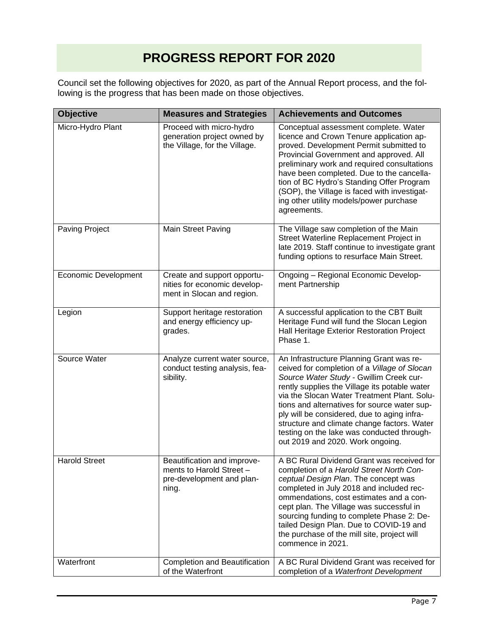# **PROGRESS REPORT FOR 2020**

Council set the following objectives for 2020, as part of the Annual Report process, and the following is the progress that has been made on those objectives.

| <b>Objective</b><br><b>Measures and Strategies</b> |                                                                                               | <b>Achievements and Outcomes</b>                                                                                                                                                                                                                                                                                                                                                                                                                                    |  |
|----------------------------------------------------|-----------------------------------------------------------------------------------------------|---------------------------------------------------------------------------------------------------------------------------------------------------------------------------------------------------------------------------------------------------------------------------------------------------------------------------------------------------------------------------------------------------------------------------------------------------------------------|--|
| Micro-Hydro Plant                                  | Proceed with micro-hydro<br>generation project owned by<br>the Village, for the Village.      | Conceptual assessment complete. Water<br>licence and Crown Tenure application ap-<br>proved. Development Permit submitted to<br>Provincial Government and approved. All<br>preliminary work and required consultations<br>have been completed. Due to the cancella-<br>tion of BC Hydro's Standing Offer Program<br>(SOP), the Village is faced with investigat-<br>ing other utility models/power purchase<br>agreements.                                          |  |
| Paving Project                                     | Main Street Paving                                                                            | The Village saw completion of the Main<br>Street Waterline Replacement Project in<br>late 2019. Staff continue to investigate grant<br>funding options to resurface Main Street.                                                                                                                                                                                                                                                                                    |  |
| <b>Economic Development</b>                        | Create and support opportu-<br>nities for economic develop-<br>ment in Slocan and region.     | Ongoing - Regional Economic Develop-<br>ment Partnership                                                                                                                                                                                                                                                                                                                                                                                                            |  |
| Legion                                             | Support heritage restoration<br>and energy efficiency up-<br>grades.                          | A successful application to the CBT Built<br>Heritage Fund will fund the Slocan Legion<br>Hall Heritage Exterior Restoration Project<br>Phase 1.                                                                                                                                                                                                                                                                                                                    |  |
| Source Water                                       | Analyze current water source,<br>conduct testing analysis, fea-<br>sibility.                  | An Infrastructure Planning Grant was re-<br>ceived for completion of a Village of Slocan<br>Source Water Study - Gwillim Creek cur-<br>rently supplies the Village its potable water<br>via the Slocan Water Treatment Plant. Solu-<br>tions and alternatives for source water sup-<br>ply will be considered, due to aging infra-<br>structure and climate change factors. Water<br>testing on the lake was conducted through-<br>out 2019 and 2020. Work ongoing. |  |
| <b>Harold Street</b>                               | Beautification and improve-<br>ments to Harold Street -<br>pre-development and plan-<br>ning. | A BC Rural Dividend Grant was received for<br>completion of a Harold Street North Con-<br>ceptual Design Plan. The concept was<br>completed in July 2018 and included rec-<br>ommendations, cost estimates and a con-<br>cept plan. The Village was successful in<br>sourcing funding to complete Phase 2: De-<br>tailed Design Plan. Due to COVID-19 and<br>the purchase of the mill site, project will<br>commence in 2021.                                       |  |
| Waterfront                                         | Completion and Beautification<br>of the Waterfront                                            | A BC Rural Dividend Grant was received for<br>completion of a Waterfront Development                                                                                                                                                                                                                                                                                                                                                                                |  |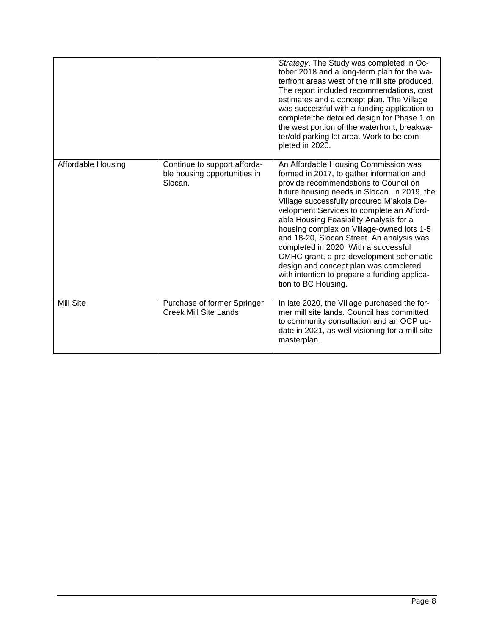|                    |                                                                         | Strategy. The Study was completed in Oc-<br>tober 2018 and a long-term plan for the wa-<br>terfront areas west of the mill site produced.<br>The report included recommendations, cost<br>estimates and a concept plan. The Village<br>was successful with a funding application to<br>complete the detailed design for Phase 1 on<br>the west portion of the waterfront, breakwa-<br>ter/old parking lot area. Work to be com-<br>pleted in 2020.                                                                                                                                                            |
|--------------------|-------------------------------------------------------------------------|---------------------------------------------------------------------------------------------------------------------------------------------------------------------------------------------------------------------------------------------------------------------------------------------------------------------------------------------------------------------------------------------------------------------------------------------------------------------------------------------------------------------------------------------------------------------------------------------------------------|
| Affordable Housing | Continue to support afforda-<br>ble housing opportunities in<br>Slocan. | An Affordable Housing Commission was<br>formed in 2017, to gather information and<br>provide recommendations to Council on<br>future housing needs in Slocan. In 2019, the<br>Village successfully procured M'akola De-<br>velopment Services to complete an Afford-<br>able Housing Feasibility Analysis for a<br>housing complex on Village-owned lots 1-5<br>and 18-20, Slocan Street. An analysis was<br>completed in 2020. With a successful<br>CMHC grant, a pre-development schematic<br>design and concept plan was completed,<br>with intention to prepare a funding applica-<br>tion to BC Housing. |
| Mill Site          | Purchase of former Springer<br>Creek Mill Site Lands                    | In late 2020, the Village purchased the for-<br>mer mill site lands. Council has committed<br>to community consultation and an OCP up-<br>date in 2021, as well visioning for a mill site<br>masterplan.                                                                                                                                                                                                                                                                                                                                                                                                      |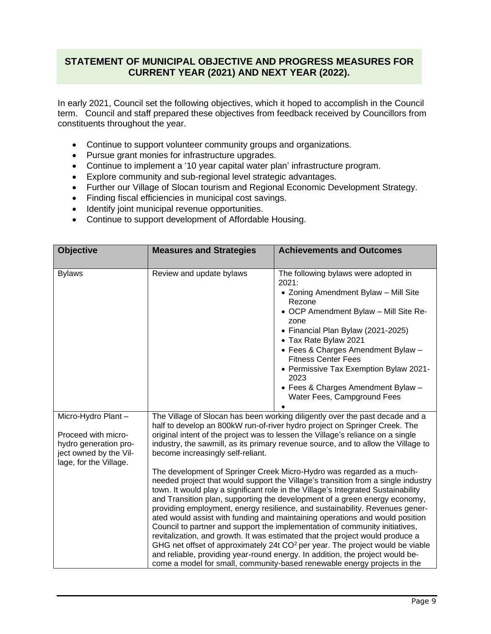## **STATEMENT OF MUNICIPAL OBJECTIVE AND PROGRESS MEASURES FOR CURRENT YEAR (2021) AND NEXT YEAR (2022).**

In early 2021, Council set the following objectives, which it hoped to accomplish in the Council term. Council and staff prepared these objectives from feedback received by Councillors from constituents throughout the year.

- Continue to support volunteer community groups and organizations.
- Pursue grant monies for infrastructure upgrades.
- Continue to implement a '10 year capital water plan' infrastructure program.
- Explore community and sub-regional level strategic advantages.
- Further our Village of Slocan tourism and Regional Economic Development Strategy.
- Finding fiscal efficiencies in municipal cost savings.
- Identify joint municipal revenue opportunities.
- Continue to support development of Affordable Housing.

| <b>Objective</b>                                                                                                       | <b>Measures and Strategies</b>                                                                                                                                                                                                                                                                                                                                                                                                                                                                                                                                                                                                                                                                                                                                                                                                                                                                                                                                                                                                                                                                                                                                                                                                                                                           | <b>Achievements and Outcomes</b>                                                                                                                                                                                                                                                                                                                                                                           |
|------------------------------------------------------------------------------------------------------------------------|------------------------------------------------------------------------------------------------------------------------------------------------------------------------------------------------------------------------------------------------------------------------------------------------------------------------------------------------------------------------------------------------------------------------------------------------------------------------------------------------------------------------------------------------------------------------------------------------------------------------------------------------------------------------------------------------------------------------------------------------------------------------------------------------------------------------------------------------------------------------------------------------------------------------------------------------------------------------------------------------------------------------------------------------------------------------------------------------------------------------------------------------------------------------------------------------------------------------------------------------------------------------------------------|------------------------------------------------------------------------------------------------------------------------------------------------------------------------------------------------------------------------------------------------------------------------------------------------------------------------------------------------------------------------------------------------------------|
|                                                                                                                        |                                                                                                                                                                                                                                                                                                                                                                                                                                                                                                                                                                                                                                                                                                                                                                                                                                                                                                                                                                                                                                                                                                                                                                                                                                                                                          |                                                                                                                                                                                                                                                                                                                                                                                                            |
| <b>Bylaws</b>                                                                                                          | Review and update bylaws                                                                                                                                                                                                                                                                                                                                                                                                                                                                                                                                                                                                                                                                                                                                                                                                                                                                                                                                                                                                                                                                                                                                                                                                                                                                 | The following bylaws were adopted in<br>2021:<br>• Zoning Amendment Bylaw - Mill Site<br>Rezone<br>• OCP Amendment Bylaw - Mill Site Re-<br>zone<br>• Financial Plan Bylaw (2021-2025)<br>• Tax Rate Bylaw 2021<br>• Fees & Charges Amendment Bylaw -<br><b>Fitness Center Fees</b><br>• Permissive Tax Exemption Bylaw 2021-<br>2023<br>• Fees & Charges Amendment Bylaw -<br>Water Fees, Campground Fees |
| Micro-Hydro Plant-<br>Proceed with micro-<br>hydro generation pro-<br>ject owned by the Vil-<br>lage, for the Village. | The Village of Slocan has been working diligently over the past decade and a<br>half to develop an 800kW run-of-river hydro project on Springer Creek. The<br>original intent of the project was to lessen the Village's reliance on a single<br>industry, the sawmill, as its primary revenue source, and to allow the Village to<br>become increasingly self-reliant.<br>The development of Springer Creek Micro-Hydro was regarded as a much-<br>needed project that would support the Village's transition from a single industry<br>town. It would play a significant role in the Village's Integrated Sustainability<br>and Transition plan, supporting the development of a green energy economy,<br>providing employment, energy resilience, and sustainability. Revenues gener-<br>ated would assist with funding and maintaining operations and would position<br>Council to partner and support the implementation of community initiatives,<br>revitalization, and growth. It was estimated that the project would produce a<br>GHG net offset of approximately 24t $CO2$ per year. The project would be viable<br>and reliable, providing year-round energy. In addition, the project would be-<br>come a model for small, community-based renewable energy projects in the |                                                                                                                                                                                                                                                                                                                                                                                                            |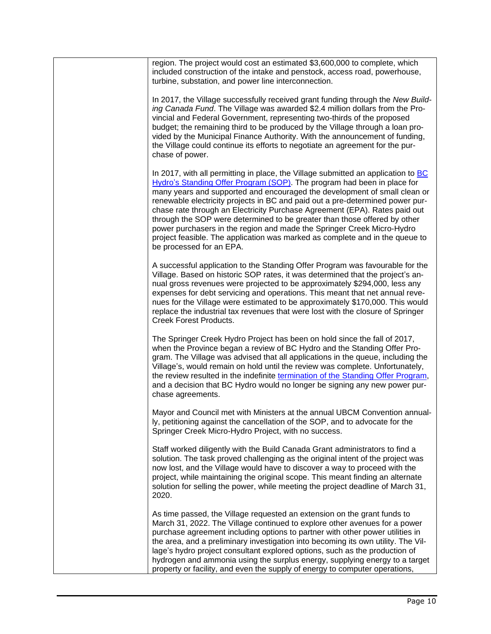| region. The project would cost an estimated \$3,600,000 to complete, which<br>included construction of the intake and penstock, access road, powerhouse,<br>turbine, substation, and power line interconnection.                                                                                                                                                                                                                                                                                                                                                                                                                                                            |
|-----------------------------------------------------------------------------------------------------------------------------------------------------------------------------------------------------------------------------------------------------------------------------------------------------------------------------------------------------------------------------------------------------------------------------------------------------------------------------------------------------------------------------------------------------------------------------------------------------------------------------------------------------------------------------|
| In 2017, the Village successfully received grant funding through the New Build-<br>ing Canada Fund. The Village was awarded \$2.4 million dollars from the Pro-<br>vincial and Federal Government, representing two-thirds of the proposed<br>budget; the remaining third to be produced by the Village through a loan pro-<br>vided by the Municipal Finance Authority. With the announcement of funding,<br>the Village could continue its efforts to negotiate an agreement for the pur-<br>chase of power.                                                                                                                                                              |
| In 2017, with all permitting in place, the Village submitted an application to BC<br>Hydro's Standing Offer Program (SOP). The program had been in place for<br>many years and supported and encouraged the development of small clean or<br>renewable electricity projects in BC and paid out a pre-determined power pur-<br>chase rate through an Electricity Purchase Agreement (EPA). Rates paid out<br>through the SOP were determined to be greater than those offered by other<br>power purchasers in the region and made the Springer Creek Micro-Hydro<br>project feasible. The application was marked as complete and in the queue to<br>be processed for an EPA. |
| A successful application to the Standing Offer Program was favourable for the<br>Village. Based on historic SOP rates, it was determined that the project's an-<br>nual gross revenues were projected to be approximately \$294,000, less any<br>expenses for debt servicing and operations. This meant that net annual reve-<br>nues for the Village were estimated to be approximately \$170,000. This would<br>replace the industrial tax revenues that were lost with the closure of Springer<br><b>Creek Forest Products.</b>                                                                                                                                          |
| The Springer Creek Hydro Project has been on hold since the fall of 2017,<br>when the Province began a review of BC Hydro and the Standing Offer Pro-<br>gram. The Village was advised that all applications in the queue, including the<br>Village's, would remain on hold until the review was complete. Unfortunately,<br>the review resulted in the indefinite termination of the Standing Offer Program,<br>and a decision that BC Hydro would no longer be signing any new power pur-<br>chase agreements.                                                                                                                                                            |
| Mayor and Council met with Ministers at the annual UBCM Convention annual-<br>ly, petitioning against the cancellation of the SOP, and to advocate for the<br>Springer Creek Micro-Hydro Project, with no success.                                                                                                                                                                                                                                                                                                                                                                                                                                                          |
| Staff worked diligently with the Build Canada Grant administrators to find a<br>solution. The task proved challenging as the original intent of the project was<br>now lost, and the Village would have to discover a way to proceed with the<br>project, while maintaining the original scope. This meant finding an alternate<br>solution for selling the power, while meeting the project deadline of March 31,<br>2020.                                                                                                                                                                                                                                                 |
| As time passed, the Village requested an extension on the grant funds to<br>March 31, 2022. The Village continued to explore other avenues for a power<br>purchase agreement including options to partner with other power utilities in<br>the area, and a preliminary investigation into becoming its own utility. The Vil-<br>lage's hydro project consultant explored options, such as the production of<br>hydrogen and ammonia using the surplus energy, supplying energy to a target<br>property or facility, and even the supply of energy to computer operations,                                                                                                   |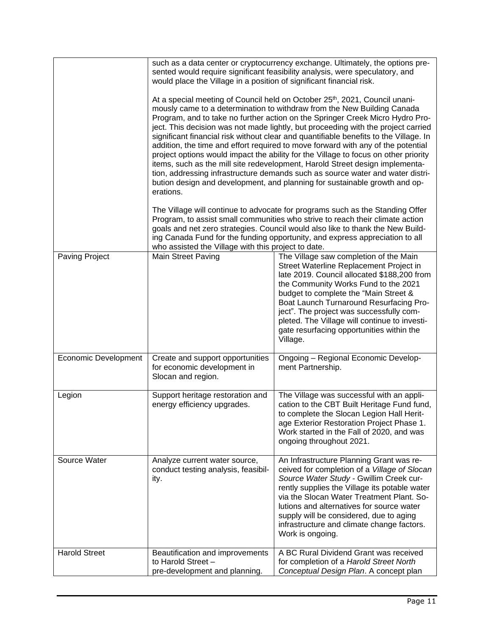|                             | such as a data center or cryptocurrency exchange. Ultimately, the options pre-<br>sented would require significant feasibility analysis, were speculatory, and<br>would place the Village in a position of significant financial risk.<br>At a special meeting of Council held on October 25 <sup>th</sup> , 2021, Council unani-<br>mously came to a determination to withdraw from the New Building Canada<br>Program, and to take no further action on the Springer Creek Micro Hydro Pro-<br>ject. This decision was not made lightly, but proceeding with the project carried<br>significant financial risk without clear and quantifiable benefits to the Village. In<br>addition, the time and effort required to move forward with any of the potential<br>project options would impact the ability for the Village to focus on other priority<br>items, such as the mill site redevelopment, Harold Street design implementa-<br>tion, addressing infrastructure demands such as source water and water distri-<br>bution design and development, and planning for sustainable growth and op-<br>erations.<br>The Village will continue to advocate for programs such as the Standing Offer<br>Program, to assist small communities who strive to reach their climate action<br>goals and net zero strategies. Council would also like to thank the New Build-<br>ing Canada Fund for the funding opportunity, and express appreciation to all |                                                                                                                                                                                                                                                                                                                                                                                                                    |  |
|-----------------------------|---------------------------------------------------------------------------------------------------------------------------------------------------------------------------------------------------------------------------------------------------------------------------------------------------------------------------------------------------------------------------------------------------------------------------------------------------------------------------------------------------------------------------------------------------------------------------------------------------------------------------------------------------------------------------------------------------------------------------------------------------------------------------------------------------------------------------------------------------------------------------------------------------------------------------------------------------------------------------------------------------------------------------------------------------------------------------------------------------------------------------------------------------------------------------------------------------------------------------------------------------------------------------------------------------------------------------------------------------------------------------------------------------------------------------------------------------------|--------------------------------------------------------------------------------------------------------------------------------------------------------------------------------------------------------------------------------------------------------------------------------------------------------------------------------------------------------------------------------------------------------------------|--|
| <b>Paving Project</b>       | who assisted the Village with this project to date.<br><b>Main Street Paving</b>                                                                                                                                                                                                                                                                                                                                                                                                                                                                                                                                                                                                                                                                                                                                                                                                                                                                                                                                                                                                                                                                                                                                                                                                                                                                                                                                                                        | The Village saw completion of the Main<br>Street Waterline Replacement Project in<br>late 2019. Council allocated \$188,200 from<br>the Community Works Fund to the 2021<br>budget to complete the "Main Street &<br>Boat Launch Turnaround Resurfacing Pro-<br>ject". The project was successfully com-<br>pleted. The Village will continue to investi-<br>gate resurfacing opportunities within the<br>Village. |  |
| <b>Economic Development</b> | Create and support opportunities<br>for economic development in<br>Slocan and region.                                                                                                                                                                                                                                                                                                                                                                                                                                                                                                                                                                                                                                                                                                                                                                                                                                                                                                                                                                                                                                                                                                                                                                                                                                                                                                                                                                   | Ongoing - Regional Economic Develop-<br>ment Partnership.                                                                                                                                                                                                                                                                                                                                                          |  |
| Legion                      | Support heritage restoration and<br>energy efficiency upgrades.                                                                                                                                                                                                                                                                                                                                                                                                                                                                                                                                                                                                                                                                                                                                                                                                                                                                                                                                                                                                                                                                                                                                                                                                                                                                                                                                                                                         | The Village was successful with an appli-<br>cation to the CBT Built Heritage Fund fund,<br>to complete the Slocan Legion Hall Herit-<br>age Exterior Restoration Project Phase 1.<br>Work started in the Fall of 2020, and was<br>ongoing throughout 2021.                                                                                                                                                        |  |
| Source Water                | Analyze current water source,<br>conduct testing analysis, feasibil-<br>ity.                                                                                                                                                                                                                                                                                                                                                                                                                                                                                                                                                                                                                                                                                                                                                                                                                                                                                                                                                                                                                                                                                                                                                                                                                                                                                                                                                                            | An Infrastructure Planning Grant was re-<br>ceived for completion of a Village of Slocan<br>Source Water Study - Gwillim Creek cur-<br>rently supplies the Village its potable water<br>via the Slocan Water Treatment Plant. So-<br>lutions and alternatives for source water<br>supply will be considered, due to aging<br>infrastructure and climate change factors.<br>Work is ongoing.                        |  |
| <b>Harold Street</b>        | Beautification and improvements<br>to Harold Street -<br>pre-development and planning.                                                                                                                                                                                                                                                                                                                                                                                                                                                                                                                                                                                                                                                                                                                                                                                                                                                                                                                                                                                                                                                                                                                                                                                                                                                                                                                                                                  | A BC Rural Dividend Grant was received<br>for completion of a Harold Street North<br>Conceptual Design Plan. A concept plan                                                                                                                                                                                                                                                                                        |  |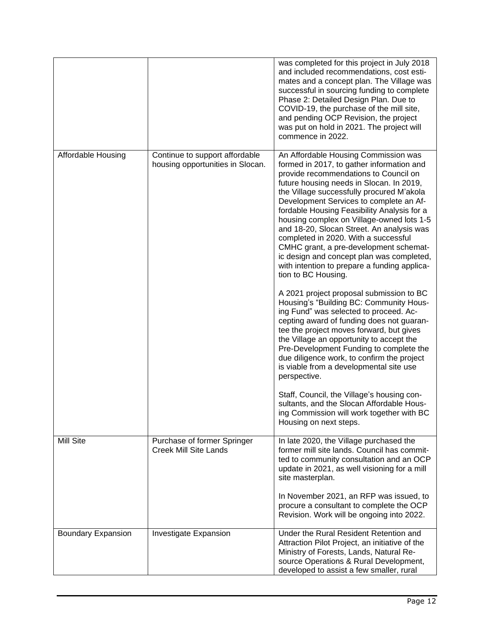|                           |                                                                    | was completed for this project in July 2018<br>and included recommendations, cost esti-<br>mates and a concept plan. The Village was<br>successful in sourcing funding to complete<br>Phase 2: Detailed Design Plan. Due to<br>COVID-19, the purchase of the mill site,<br>and pending OCP Revision, the project<br>was put on hold in 2021. The project will<br>commence in 2022.                                                                                                                                                                                                                            |
|---------------------------|--------------------------------------------------------------------|---------------------------------------------------------------------------------------------------------------------------------------------------------------------------------------------------------------------------------------------------------------------------------------------------------------------------------------------------------------------------------------------------------------------------------------------------------------------------------------------------------------------------------------------------------------------------------------------------------------|
| Affordable Housing        | Continue to support affordable<br>housing opportunities in Slocan. | An Affordable Housing Commission was<br>formed in 2017, to gather information and<br>provide recommendations to Council on<br>future housing needs in Slocan. In 2019,<br>the Village successfully procured M'akola<br>Development Services to complete an Af-<br>fordable Housing Feasibility Analysis for a<br>housing complex on Village-owned lots 1-5<br>and 18-20, Slocan Street. An analysis was<br>completed in 2020. With a successful<br>CMHC grant, a pre-development schemat-<br>ic design and concept plan was completed,<br>with intention to prepare a funding applica-<br>tion to BC Housing. |
|                           |                                                                    | A 2021 project proposal submission to BC<br>Housing's "Building BC: Community Hous-<br>ing Fund" was selected to proceed. Ac-<br>cepting award of funding does not guaran-<br>tee the project moves forward, but gives<br>the Village an opportunity to accept the<br>Pre-Development Funding to complete the<br>due diligence work, to confirm the project<br>is viable from a developmental site use<br>perspective.                                                                                                                                                                                        |
|                           |                                                                    | Staff, Council, the Village's housing con-<br>sultants, and the Slocan Affordable Hous-<br>ing Commission will work together with BC<br>Housing on next steps.                                                                                                                                                                                                                                                                                                                                                                                                                                                |
| Mill Site                 | Purchase of former Springer<br><b>Creek Mill Site Lands</b>        | In late 2020, the Village purchased the<br>former mill site lands. Council has commit-<br>ted to community consultation and an OCP<br>update in 2021, as well visioning for a mill<br>site masterplan.                                                                                                                                                                                                                                                                                                                                                                                                        |
|                           |                                                                    | In November 2021, an RFP was issued, to<br>procure a consultant to complete the OCP<br>Revision. Work will be ongoing into 2022.                                                                                                                                                                                                                                                                                                                                                                                                                                                                              |
| <b>Boundary Expansion</b> | Investigate Expansion                                              | Under the Rural Resident Retention and<br>Attraction Pilot Project, an initiative of the<br>Ministry of Forests, Lands, Natural Re-<br>source Operations & Rural Development,<br>developed to assist a few smaller, rural                                                                                                                                                                                                                                                                                                                                                                                     |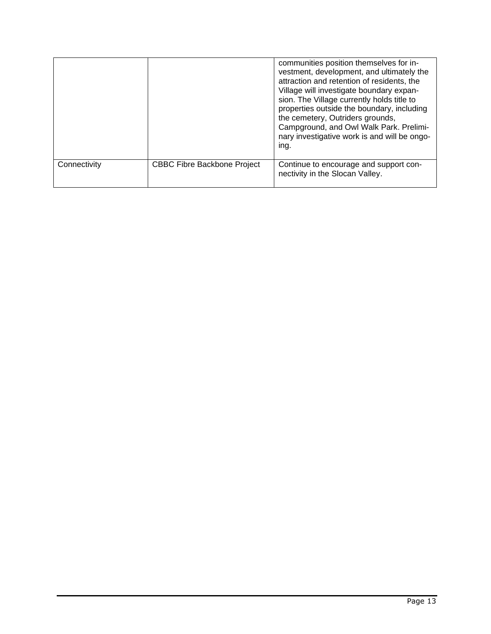|              |                                    | communities position themselves for in-<br>vestment, development, and ultimately the<br>attraction and retention of residents, the<br>Village will investigate boundary expan-<br>sion. The Village currently holds title to<br>properties outside the boundary, including<br>the cemetery, Outriders grounds,<br>Campground, and Owl Walk Park. Prelimi-<br>nary investigative work is and will be ongo-<br>ing. |
|--------------|------------------------------------|-------------------------------------------------------------------------------------------------------------------------------------------------------------------------------------------------------------------------------------------------------------------------------------------------------------------------------------------------------------------------------------------------------------------|
| Connectivity | <b>CBBC Fibre Backbone Project</b> | Continue to encourage and support con-<br>nectivity in the Slocan Valley.                                                                                                                                                                                                                                                                                                                                         |